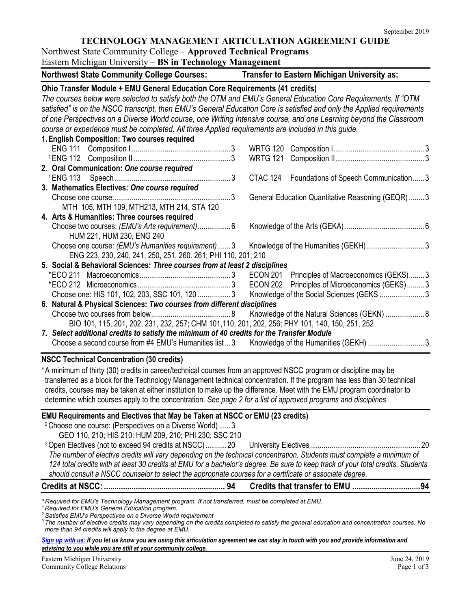## **TECHNOLOGY MANAGEMENT ARTICULATION AGREEMENT GUIDE**

Northwest State Community College – **Approved Technical Programs** Eastern Michigan University – **BS in Technology Management**

| Eastern Michigan University – <b>BS in Technology Management</b>                                                                                                                                                                                                                                                                                                                                                                                                                                                                                    |                                                                                                |
|-----------------------------------------------------------------------------------------------------------------------------------------------------------------------------------------------------------------------------------------------------------------------------------------------------------------------------------------------------------------------------------------------------------------------------------------------------------------------------------------------------------------------------------------------------|------------------------------------------------------------------------------------------------|
| <b>Northwest State Community College Courses:</b>                                                                                                                                                                                                                                                                                                                                                                                                                                                                                                   | Transfer to Eastern Michigan University as:                                                    |
| Ohio Transfer Module + EMU General Education Core Requirements (41 credits)<br>The courses below were selected to satisfy both the OTM and EMU's General Education Core Requirements. If "OTM<br>satisfied" is on the NSCC transcript, then EMU's General Education Core is satisfied and only the Applied requirements<br>of one Perspectives on a Diverse World course, one Writing Intensive course, and one Learning beyond the Classroom<br>course or experience must be completed. All three Applied requirements are included in this guide. |                                                                                                |
| 1. English Composition: Two courses required                                                                                                                                                                                                                                                                                                                                                                                                                                                                                                        |                                                                                                |
|                                                                                                                                                                                                                                                                                                                                                                                                                                                                                                                                                     | <b>WRTG 120</b><br><b>WRTG 121</b>                                                             |
| 2. Oral Communication: One course required                                                                                                                                                                                                                                                                                                                                                                                                                                                                                                          | CTAC 124 Foundations of Speech Communication 3                                                 |
| 3. Mathematics Electives: One course required                                                                                                                                                                                                                                                                                                                                                                                                                                                                                                       |                                                                                                |
| MTH 105, MTH 109, MTH213, MTH 214, STA 120                                                                                                                                                                                                                                                                                                                                                                                                                                                                                                          | General Education Quantitative Reasoning (GEQR) 3                                              |
| 4. Arts & Humanities: Three courses required<br>Choose two courses: (EMU's Arts requirement) 6<br>HUM 221, HUM 230, ENG 240                                                                                                                                                                                                                                                                                                                                                                                                                         |                                                                                                |
| Choose one course: (EMU's Humanities requirement)3<br>ENG 223, 230, 240, 241, 250, 251, 260. 261; PHI 110, 201, 210                                                                                                                                                                                                                                                                                                                                                                                                                                 |                                                                                                |
| 5. Social & Behavioral Sciences: Three courses from at least 2 disciplines                                                                                                                                                                                                                                                                                                                                                                                                                                                                          |                                                                                                |
| Choose one: HIS 101, 102, 203, SSC 101, 120 3                                                                                                                                                                                                                                                                                                                                                                                                                                                                                                       | ECON 201 Principles of Macroeconomics (GEKS)3<br>ECON 202 Principles of Microeconomics (GEKS)3 |
| 6. Natural & Physical Sciences: Two courses from different disciplines<br>BIO 101, 115, 201, 202, 231, 232, 257; CHM 101, 110, 201, 202, 256; PHY 101, 140, 150, 251, 252                                                                                                                                                                                                                                                                                                                                                                           | Knowledge of the Natural Sciences (GEKN)  8                                                    |
| 7. Select additional credits to satisfy the minimum of 40 credits for the Transfer Module<br>Choose a second course from #4 EMU's Humanities list3                                                                                                                                                                                                                                                                                                                                                                                                  | Knowledge of the Humanities (GEKH) 3                                                           |
| <b>NSCC Technical Concentration (30 credits)</b><br>*A minimum of thirty (30) credits in career/technical courses from an approved NSCC program or discipline may be<br>transferred as a block for the Technology Management technical concentration. If the program has less than 30 technical<br>credits, courses may be taken at either institution to make up the difference. Meet with the EMU program coordinator to<br>determine which courses apply to the concentration. See page 2 for a list of approved programs and disciplines.       |                                                                                                |
| EMU Requirements and Electives that May be Taken at NSCC or EMU (23 credits)                                                                                                                                                                                                                                                                                                                                                                                                                                                                        |                                                                                                |
| <sup>2</sup> Choose one course: (Perspectives on a Diverse World)  3                                                                                                                                                                                                                                                                                                                                                                                                                                                                                |                                                                                                |
| GEO 110, 210; HIS 210: HUM 209, 210; PHI 230; SSC 210                                                                                                                                                                                                                                                                                                                                                                                                                                                                                               |                                                                                                |
| <sup>3</sup> Open Electives (not to exceed 94 credits at NSCC)20<br>The number of elective credits will vary depending on the technical concentration. Students must complete a minimum of<br>124 total credits with at least 30 credits at EMU for a bachelor's degree. Be sure to keep track of your total credits. Students<br>should consult a NSCC counselor to select the appropriate courses for a certificate or associate degree.                                                                                                          |                                                                                                |
|                                                                                                                                                                                                                                                                                                                                                                                                                                                                                                                                                     |                                                                                                |
| *Required for EMU's Technology Management program. If not transferred, must be completed at EMU.<br><sup>1</sup> Required for EMU's General Education program.<br><sup>2</sup> Satisfies EMU's Perspectives on a Diverse World requirement                                                                                                                                                                                                                                                                                                          |                                                                                                |

*<sup>3</sup> The number of elective credits may vary depending on the credits completed to satisfy the general education and concentration courses. No more than 94 credits will apply to the degree at EMU.*

*[Sign up with us:](http://www.emich.edu/ccr/articulation-agreements/signup.php) If you let us know you are using this articulation agreement we can stay in touch with you and provide information and advising to you while you are still at your community college.*

Eastern Michigan University June 24, 2019<br>
Community College Relations Page 1 of 3 Community College Relations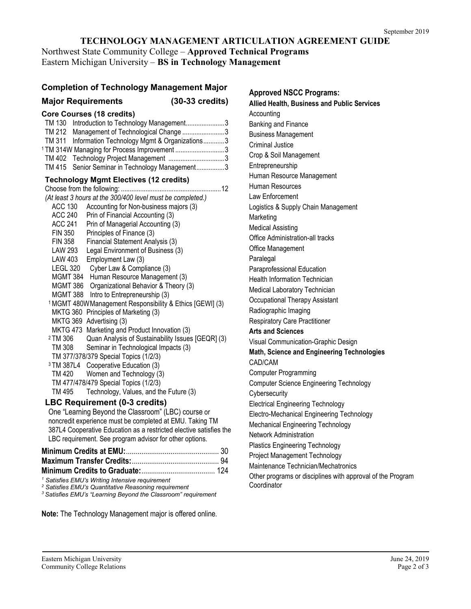### **TECHNOLOGY MANAGEMENT ARTICULATION AGREEMENT GUIDE**

Northwest State Community College – **Approved Technical Programs** Eastern Michigan University – **BS in Technology Management**

### **Completion of Technology Management Major**

## **Major Requirements (30-33 credits)**

| <b>Core Courses (18 credits)</b> |  |  |
|----------------------------------|--|--|
|----------------------------------|--|--|

| TM 130 Introduction to Technology Management3           |  |
|---------------------------------------------------------|--|
| TM 212 Management of Technological Change 3             |  |
| TM 311 Information Technology Mgmt & Organizations3     |  |
| <sup>1</sup> TM 314W Managing for Process Improvement 3 |  |
| TM 402 Technology Project Management 3                  |  |

#### TM 415 Senior Seminar in Technology Management................3 **Technology Mgmt Electives (12 credits)**

| (At least 3 hours at the 300/400 level must be completed.)               |
|--------------------------------------------------------------------------|
| <b>ACC 130</b><br>Accounting for Non-business majors (3)                 |
| <b>ACC 240</b><br>Prin of Financial Accounting (3)                       |
| <b>ACC 241</b><br>Prin of Managerial Accounting (3)                      |
| FIN 350<br>Principles of Finance (3)                                     |
| FIN 358<br>Financial Statement Analysis (3)                              |
| LAW 293<br>Legal Environment of Business (3)                             |
| Employment Law (3)<br>LAW 403                                            |
| LEGL 320<br>Cyber Law & Compliance (3)                                   |
| MGMT 384 Human Resource Management (3)                                   |
| MGMT 386 Organizational Behavior & Theory (3)                            |
| MGMT 388 Intro to Entrepreneurship (3)                                   |
| <sup>1</sup> MGMT 480W Management Responsibility & Ethics [GEWI] (3)     |
| MKTG 360 Principles of Marketing (3)                                     |
| MKTG 369 Advertising (3)                                                 |
| MKTG 473 Marketing and Product Innovation (3)                            |
| <sup>2</sup> TM 306<br>Quan Analysis of Sustainability Issues [GEQR] (3) |
| Seminar in Technological Impacts (3)<br>TM 308                           |
| TM 377/378/379 Special Topics (1/2/3)                                    |
| <sup>3</sup> TM 387L4 Cooperative Education (3)                          |
|                                                                          |
| TM 420 Women and Technology (3)                                          |
| TM 477/478/479 Special Topics (1/2/3)<br>TM 495                          |
| Technology, Values, and the Future (3)                                   |
| <b>LBC Requirement (0-3 credits)</b>                                     |
| One "Learning Beyond the Classroom" (LBC) course or                      |
| noncredit experience must be completed at EMU. Taking TM                 |
| 387L4 Cooperative Education as a restricted elective satisfies the       |
| LBC requirement. See program advisor for other options.                  |
|                                                                          |
|                                                                          |
|                                                                          |
|                                                                          |

*<sup>1</sup> Satisfies EMU's Writing Intensive requirement*

*<sup>2</sup> Satisfies EMU's Quantitative Reasoning requirement*

*<sup>3</sup> Satisfies EMU's "Learning Beyond the Classroom" requirement*

**Note:** The Technology Management major is offered online.

**Approved NSCC Programs: Allied Health, Business and Public Services Accounting** Banking and Finance Business Management Criminal Justice Crop & Soil Management Entrepreneurship Human Resource Management Human Resources Law Enforcement Logistics & Supply Chain Management Marketing Medical Assisting Office Administration-all tracks Office Management Paralegal Paraprofessional Education Health Information Technician Medical Laboratory Technician Occupational Therapy Assistant Radiographic Imaging Respiratory Care Practitioner **Arts and Sciences** Visual Communication-Graphic Design **Math, Science and Engineering Technologies** CAD/CAM Computer Programming Computer Science Engineering Technology **Cybersecurity** Electrical Engineering Technology Electro-Mechanical Engineering Technology Mechanical Engineering Technology Network Administration Plastics Engineering Technology Project Management Technology Maintenance Technician/Mechatronics Other programs or disciplines with approval of the Program

**Coordinator**